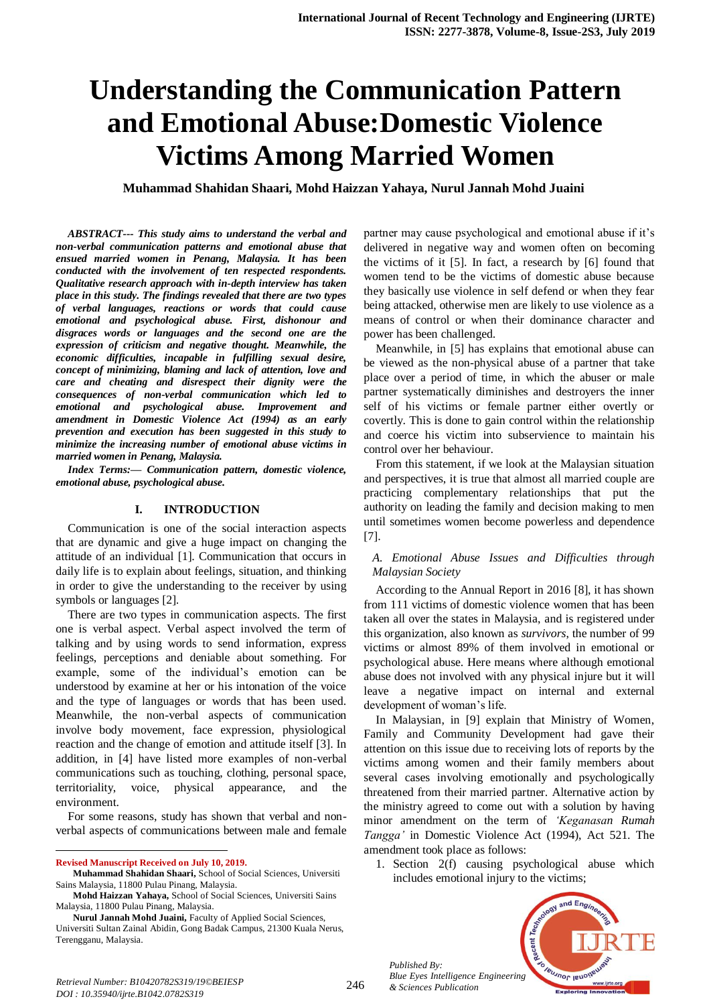# **Understanding the Communication Pattern and Emotional Abuse:Domestic Violence Victims Among Married Women**

**Muhammad Shahidan Shaari, Mohd Haizzan Yahaya, Nurul Jannah Mohd Juaini**

*ABSTRACT--- This study aims to understand the verbal and non-verbal communication patterns and emotional abuse that ensued married women in Penang, Malaysia. It has been conducted with the involvement of ten respected respondents. Qualitative research approach with in-depth interview has taken place in this study. The findings revealed that there are two types of verbal languages, reactions or words that could cause emotional and psychological abuse. First, dishonour and disgraces words or languages and the second one are the expression of criticism and negative thought. Meanwhile, the economic difficulties, incapable in fulfilling sexual desire, concept of minimizing, blaming and lack of attention, love and care and cheating and disrespect their dignity were the consequences of non-verbal communication which led to emotional and psychological abuse. Improvement and amendment in Domestic Violence Act (1994) as an early prevention and execution has been suggested in this study to minimize the increasing number of emotional abuse victims in married women in Penang, Malaysia.*

*Index Terms:— Communication pattern, domestic violence, emotional abuse, psychological abuse.*

## **I. INTRODUCTION**

Communication is one of the social interaction aspects that are dynamic and give a huge impact on changing the attitude of an individual [1]. Communication that occurs in daily life is to explain about feelings, situation, and thinking in order to give the understanding to the receiver by using symbols or languages [2].

There are two types in communication aspects. The first one is verbal aspect. Verbal aspect involved the term of talking and by using words to send information, express feelings, perceptions and deniable about something. For example, some of the individual's emotion can be understood by examine at her or his intonation of the voice and the type of languages or words that has been used. Meanwhile, the non-verbal aspects of communication involve body movement, face expression, physiological reaction and the change of emotion and attitude itself [3]. In addition, in [4] have listed more examples of non-verbal communications such as touching, clothing, personal space, territoriality, voice, physical appearance, and the environment.

For some reasons, study has shown that verbal and nonverbal aspects of communications between male and female

 $\overline{a}$ **Revised Manuscript Received on July 10, 2019.**

**Nurul Jannah Mohd Juaini,** Faculty of Applied Social Sciences, Universiti Sultan Zainal Abidin, Gong Badak Campus, 21300 Kuala Nerus, Terengganu, Malaysia.

partner may cause psychological and emotional abuse if it's delivered in negative way and women often on becoming the victims of it [5]. In fact, a research by [6] found that women tend to be the victims of domestic abuse because they basically use violence in self defend or when they fear being attacked, otherwise men are likely to use violence as a means of control or when their dominance character and power has been challenged.

Meanwhile, in [5] has explains that emotional abuse can be viewed as the non-physical abuse of a partner that take place over a period of time, in which the abuser or male partner systematically diminishes and destroyers the inner self of his victims or female partner either overtly or covertly. This is done to gain control within the relationship and coerce his victim into subservience to maintain his control over her behaviour.

From this statement, if we look at the Malaysian situation and perspectives, it is true that almost all married couple are practicing complementary relationships that put the authority on leading the family and decision making to men until sometimes women become powerless and dependence [7].

## *A. Emotional Abuse Issues and Difficulties through Malaysian Society*

According to the Annual Report in 2016 [8], it has shown from 111 victims of domestic violence women that has been taken all over the states in Malaysia, and is registered under this organization, also known as *survivors*, the number of 99 victims or almost 89% of them involved in emotional or psychological abuse. Here means where although emotional abuse does not involved with any physical injure but it will leave a negative impact on internal and external development of woman's life.

In Malaysian, in [9] explain that Ministry of Women, Family and Community Development had gave their attention on this issue due to receiving lots of reports by the victims among women and their family members about several cases involving emotionally and psychologically threatened from their married partner. Alternative action by the ministry agreed to come out with a solution by having minor amendment on the term of *'Keganasan Rumah Tangga'* in Domestic Violence Act (1994), Act 521. The amendment took place as follows:

1. Section 2(f) causing psychological abuse which includes emotional injury to the victims;



*Published By:*

**Muhammad Shahidan Shaari,** School of Social Sciences, Universiti Sains Malaysia, 11800 Pulau Pinang, Malaysia.

**Mohd Haizzan Yahaya,** School of Social Sciences, Universiti Sains Malaysia, 11800 Pulau Pinang, Malaysia.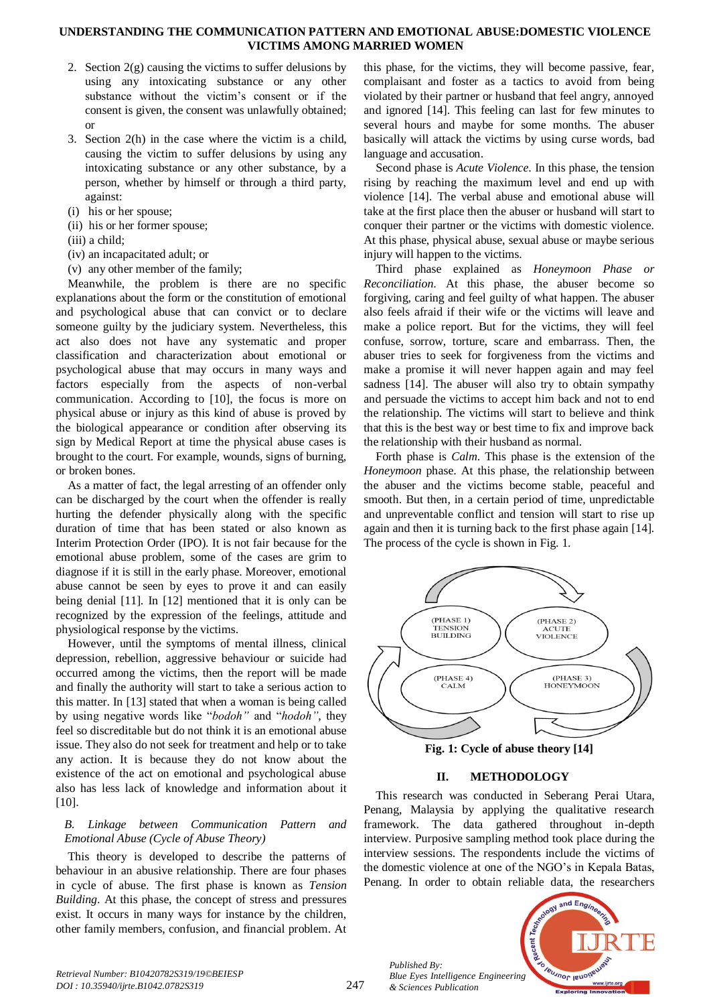#### **UNDERSTANDING THE COMMUNICATION PATTERN AND EMOTIONAL ABUSE:DOMESTIC VIOLENCE VICTIMS AMONG MARRIED WOMEN**

- 2. Section  $2(e)$  causing the victims to suffer delusions by using any intoxicating substance or any other substance without the victim's consent or if the consent is given, the consent was unlawfully obtained; or
- 3. Section 2(h) in the case where the victim is a child, causing the victim to suffer delusions by using any intoxicating substance or any other substance, by a person, whether by himself or through a third party, against:
- (i) his or her spouse;
- (ii) his or her former spouse;
- (iii) a child;
- (iv) an incapacitated adult; or
- (v) any other member of the family;

Meanwhile, the problem is there are no specific explanations about the form or the constitution of emotional and psychological abuse that can convict or to declare someone guilty by the judiciary system. Nevertheless, this act also does not have any systematic and proper classification and characterization about emotional or psychological abuse that may occurs in many ways and factors especially from the aspects of non-verbal communication. According to [10], the focus is more on physical abuse or injury as this kind of abuse is proved by the biological appearance or condition after observing its sign by Medical Report at time the physical abuse cases is brought to the court. For example, wounds, signs of burning, or broken bones.

As a matter of fact, the legal arresting of an offender only can be discharged by the court when the offender is really hurting the defender physically along with the specific duration of time that has been stated or also known as Interim Protection Order (IPO). It is not fair because for the emotional abuse problem, some of the cases are grim to diagnose if it is still in the early phase. Moreover, emotional abuse cannot be seen by eyes to prove it and can easily being denial [11]. In [12] mentioned that it is only can be recognized by the expression of the feelings, attitude and physiological response by the victims.

However, until the symptoms of mental illness, clinical depression, rebellion, aggressive behaviour or suicide had occurred among the victims, then the report will be made and finally the authority will start to take a serious action to this matter. In [13] stated that when a woman is being called by using negative words like "*bodoh"* and "*hodoh"*, they feel so discreditable but do not think it is an emotional abuse issue. They also do not seek for treatment and help or to take any action. It is because they do not know about the existence of the act on emotional and psychological abuse also has less lack of knowledge and information about it [10].

## *B. Linkage between Communication Pattern and Emotional Abuse (Cycle of Abuse Theory)*

This theory is developed to describe the patterns of behaviour in an abusive relationship. There are four phases in cycle of abuse. The first phase is known as *Tension Building*. At this phase, the concept of stress and pressures exist. It occurs in many ways for instance by the children, other family members, confusion, and financial problem. At

this phase, for the victims, they will become passive, fear, complaisant and foster as a tactics to avoid from being violated by their partner or husband that feel angry, annoyed and ignored [14]. This feeling can last for few minutes to several hours and maybe for some months. The abuser basically will attack the victims by using curse words, bad language and accusation.

Second phase is *Acute Violence*. In this phase, the tension rising by reaching the maximum level and end up with violence [14]. The verbal abuse and emotional abuse will take at the first place then the abuser or husband will start to conquer their partner or the victims with domestic violence. At this phase, physical abuse, sexual abuse or maybe serious injury will happen to the victims.

Third phase explained as *Honeymoon Phase or Reconciliation*. At this phase, the abuser become so forgiving, caring and feel guilty of what happen. The abuser also feels afraid if their wife or the victims will leave and make a police report. But for the victims, they will feel confuse, sorrow, torture, scare and embarrass. Then, the abuser tries to seek for forgiveness from the victims and make a promise it will never happen again and may feel sadness [14]. The abuser will also try to obtain sympathy and persuade the victims to accept him back and not to end the relationship. The victims will start to believe and think that this is the best way or best time to fix and improve back the relationship with their husband as normal.

Forth phase is *Calm*. This phase is the extension of the *Honeymoon* phase. At this phase, the relationship between the abuser and the victims become stable, peaceful and smooth. But then, in a certain period of time, unpredictable and unpreventable conflict and tension will start to rise up again and then it is turning back to the first phase again [14]. The process of the cycle is shown in Fig. 1.



**Fig. 1: Cycle of abuse theory [14]**

# **II. METHODOLOGY**

This research was conducted in Seberang Perai Utara, Penang, Malaysia by applying the qualitative research framework. The data gathered throughout in-depth interview. Purposive sampling method took place during the interview sessions. The respondents include the victims of the domestic violence at one of the NGO's in Kepala Batas, Penang. In order to obtain reliable data, the researchers



*Retrieval Number: B10420782S319/19©BEIESP DOI : 10.35940/ijrte.B1042.0782S319*

*Published By:*

*& Sciences Publication*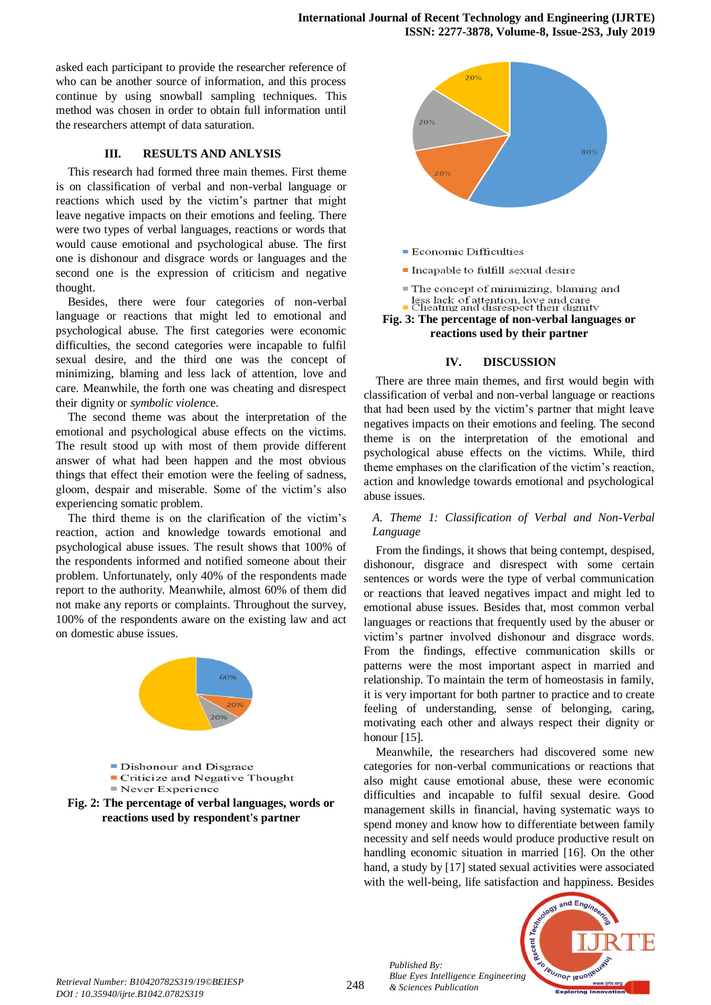asked each participant to provide the researcher reference of who can be another source of information, and this process continue by using snowball sampling techniques. This method was chosen in order to obtain full information until the researchers attempt of data saturation.

## **III. RESULTS AND ANLYSIS**

This research had formed three main themes. First theme is on classification of verbal and non-verbal language or reactions which used by the victim's partner that might leave negative impacts on their emotions and feeling. There were two types of verbal languages, reactions or words that would cause emotional and psychological abuse. The first one is dishonour and disgrace words or languages and the second one is the expression of criticism and negative thought.

Besides, there were four categories of non-verbal language or reactions that might led to emotional and psychological abuse. The first categories were economic difficulties, the second categories were incapable to fulfil sexual desire, and the third one was the concept of minimizing, blaming and less lack of attention, love and care. Meanwhile, the forth one was cheating and disrespect their dignity or *symbolic violenc*e.

The second theme was about the interpretation of the emotional and psychological abuse effects on the victims. The result stood up with most of them provide different answer of what had been happen and the most obvious things that effect their emotion were the feeling of sadness, gloom, despair and miserable. Some of the victim's also experiencing somatic problem.

The third theme is on the clarification of the victim's reaction, action and knowledge towards emotional and psychological abuse issues. The result shows that 100% of the respondents informed and notified someone about their problem. Unfortunately, only 40% of the respondents made report to the authority. Meanwhile, almost 60% of them did not make any reports or complaints. Throughout the survey, 100% of the respondents aware on the existing law and act on domestic abuse issues.





- Economic Difficulties
- Incapable to fulfill sexual desire
- The concept of minimizing, blaming and less lack of attention, love and care<br>• Cheating and disrespect their dignity
- **Fig. 3: The percentage of non-verbal languages or reactions used by their partner**

#### **IV. DISCUSSION**

There are three main themes, and first would begin with classification of verbal and non-verbal language or reactions that had been used by the victim's partner that might leave negatives impacts on their emotions and feeling. The second theme is on the interpretation of the emotional and psychological abuse effects on the victims. While, third theme emphases on the clarification of the victim's reaction, action and knowledge towards emotional and psychological abuse issues.

## *A. Theme 1: Classification of Verbal and Non-Verbal Language*

From the findings, it shows that being contempt, despised, dishonour, disgrace and disrespect with some certain sentences or words were the type of verbal communication or reactions that leaved negatives impact and might led to emotional abuse issues. Besides that, most common verbal languages or reactions that frequently used by the abuser or victim's partner involved dishonour and disgrace words. From the findings, effective communication skills or patterns were the most important aspect in married and relationship. To maintain the term of homeostasis in family, it is very important for both partner to practice and to create feeling of understanding, sense of belonging, caring, motivating each other and always respect their dignity or honour [15].

Meanwhile, the researchers had discovered some new categories for non-verbal communications or reactions that also might cause emotional abuse, these were economic difficulties and incapable to fulfil sexual desire. Good management skills in financial, having systematic ways to spend money and know how to differentiate between family necessity and self needs would produce productive result on handling economic situation in married [16]. On the other hand, a study by [17] stated sexual activities were associated with the well-being, life satisfaction and happiness. Besides



*Published By:*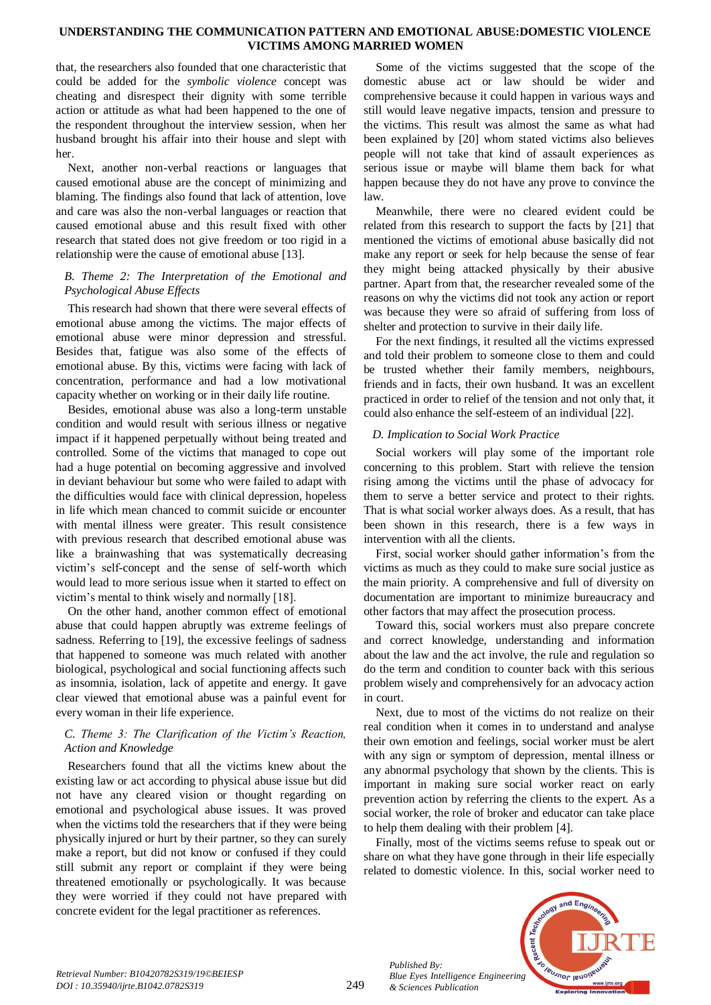## **UNDERSTANDING THE COMMUNICATION PATTERN AND EMOTIONAL ABUSE:DOMESTIC VIOLENCE VICTIMS AMONG MARRIED WOMEN**

that, the researchers also founded that one characteristic that could be added for the *symbolic violence* concept was cheating and disrespect their dignity with some terrible action or attitude as what had been happened to the one of the respondent throughout the interview session, when her husband brought his affair into their house and slept with her.

Next, another non-verbal reactions or languages that caused emotional abuse are the concept of minimizing and blaming. The findings also found that lack of attention, love and care was also the non-verbal languages or reaction that caused emotional abuse and this result fixed with other research that stated does not give freedom or too rigid in a relationship were the cause of emotional abuse [13].

## *B. Theme 2: The Interpretation of the Emotional and Psychological Abuse Effects*

This research had shown that there were several effects of emotional abuse among the victims. The major effects of emotional abuse were minor depression and stressful. Besides that, fatigue was also some of the effects of emotional abuse. By this, victims were facing with lack of concentration, performance and had a low motivational capacity whether on working or in their daily life routine.

Besides, emotional abuse was also a long-term unstable condition and would result with serious illness or negative impact if it happened perpetually without being treated and controlled. Some of the victims that managed to cope out had a huge potential on becoming aggressive and involved in deviant behaviour but some who were failed to adapt with the difficulties would face with clinical depression, hopeless in life which mean chanced to commit suicide or encounter with mental illness were greater. This result consistence with previous research that described emotional abuse was like a brainwashing that was systematically decreasing victim's self-concept and the sense of self-worth which would lead to more serious issue when it started to effect on victim's mental to think wisely and normally [18].

On the other hand, another common effect of emotional abuse that could happen abruptly was extreme feelings of sadness. Referring to [19], the excessive feelings of sadness that happened to someone was much related with another biological, psychological and social functioning affects such as insomnia, isolation, lack of appetite and energy. It gave clear viewed that emotional abuse was a painful event for every woman in their life experience.

# *C. Theme 3: The Clarification of the Victim's Reaction, Action and Knowledge*

Researchers found that all the victims knew about the existing law or act according to physical abuse issue but did not have any cleared vision or thought regarding on emotional and psychological abuse issues. It was proved when the victims told the researchers that if they were being physically injured or hurt by their partner, so they can surely make a report, but did not know or confused if they could still submit any report or complaint if they were being threatened emotionally or psychologically. It was because they were worried if they could not have prepared with concrete evident for the legal practitioner as references.

Some of the victims suggested that the scope of the domestic abuse act or law should be wider and comprehensive because it could happen in various ways and still would leave negative impacts, tension and pressure to the victims. This result was almost the same as what had been explained by [20] whom stated victims also believes people will not take that kind of assault experiences as serious issue or maybe will blame them back for what happen because they do not have any prove to convince the law.

Meanwhile, there were no cleared evident could be related from this research to support the facts by [21] that mentioned the victims of emotional abuse basically did not make any report or seek for help because the sense of fear they might being attacked physically by their abusive partner. Apart from that, the researcher revealed some of the reasons on why the victims did not took any action or report was because they were so afraid of suffering from loss of shelter and protection to survive in their daily life.

For the next findings, it resulted all the victims expressed and told their problem to someone close to them and could be trusted whether their family members, neighbours, friends and in facts, their own husband. It was an excellent practiced in order to relief of the tension and not only that, it could also enhance the self-esteem of an individual [22].

# *D. Implication to Social Work Practice*

Social workers will play some of the important role concerning to this problem. Start with relieve the tension rising among the victims until the phase of advocacy for them to serve a better service and protect to their rights. That is what social worker always does. As a result, that has been shown in this research, there is a few ways in intervention with all the clients.

First, social worker should gather information's from the victims as much as they could to make sure social justice as the main priority. A comprehensive and full of diversity on documentation are important to minimize bureaucracy and other factors that may affect the prosecution process.

Toward this, social workers must also prepare concrete and correct knowledge, understanding and information about the law and the act involve, the rule and regulation so do the term and condition to counter back with this serious problem wisely and comprehensively for an advocacy action in court.

Next, due to most of the victims do not realize on their real condition when it comes in to understand and analyse their own emotion and feelings, social worker must be alert with any sign or symptom of depression, mental illness or any abnormal psychology that shown by the clients. This is important in making sure social worker react on early prevention action by referring the clients to the expert. As a social worker, the role of broker and educator can take place to help them dealing with their problem [4].

Finally, most of the victims seems refuse to speak out or share on what they have gone through in their life especially related to domestic violence. In this, social worker need to



*Published By:*

*& Sciences Publication*